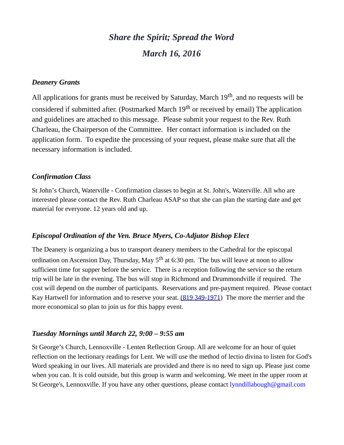# *Share the Spirit; Spread the Word March 16, 2016*

#### *Deanery Grants*

All applications for grants must be received by Saturday, March 19<sup>th</sup>, and no requests will be considered if submitted after. (Postmarked March  $19<sup>th</sup>$  or received by email) The application and guidelines are attached to this message. Please submit your request to the Rev. Ruth Charleau, the Chairperson of the Committee. Her contact information is included on the application form. To expedite the processing of your request, please make sure that all the necessary information is included.

#### *Confirmation Class*

St John's Church, Waterville - Confirmation classes to begin at St. John's, Waterville. All who are interested please contact the Rev. Ruth Charleau ASAP so that she can plan the starting date and get material for everyone. 12 years old and up.

#### *Episcopal Ordination of the Ven. Bruce Myers, Co-Adjutor Bishop Elect*

The Deanery is organizing a bus to transport deanery members to the Cathedral for the episcopal ordination on Ascension Day, Thursday, May  $5<sup>th</sup>$  at 6:30 pm. The bus will leave at noon to allow sufficient time for supper before the service. There is a reception following the service so the return trip will be late in the evening. The bus will stop in Richmond and Drummondville if required. The cost will depend on the number of participants. Reservations and pre-payment required. Please contact Kay Hartwell for information and to reserve your seat. [\(819 349-1971\)](tel:(819%20349-1971) The more the merrier and the more economical so plan to join us for this happy event.

#### *Tuesday Mornings until March 22, 9:00 – 9:55 am*

St George's Church, Lennoxville - Lenten Reflection Group. All are welcome for an hour of quiet reflection on the lectionary readings for Lent. We will use the method of lectio divina to listen for God's Word speaking in our lives. All materials are provided and there is no need to sign up. Please just come when you can. It is cold outside, but this group is warm and welcoming. We meet in the upper room at St George's, Lennoxville. If you have any other questions, please contact [lynndillabough@gmail.com](mailto:lynndillabough@gmail.com)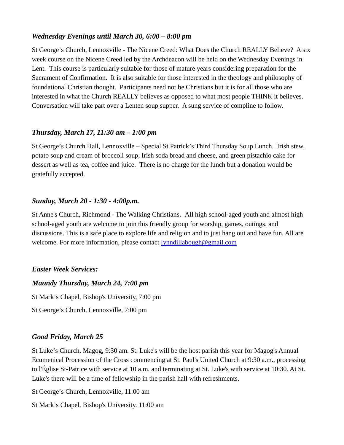# *Wednesday Evenings until March 30, 6:00 – 8:00 pm*

St George's Church, Lennoxville - The Nicene Creed: What Does the Church REALLY Believe? A six week course on the Nicene Creed led by the Archdeacon will be held on the Wednesday Evenings in Lent. This course is particularly suitable for those of mature years considering preparation for the Sacrament of Confirmation. It is also suitable for those interested in the theology and philosophy of foundational Christian thought. Participants need not be Christians but it is for all those who are interested in what the Church REALLY believes as opposed to what most people THINK it believes. Conversation will take part over a Lenten soup supper. A sung service of compline to follow.

## *Thursday, March 17, 11:30 am – 1:00 pm*

St George's Church Hall, Lennoxville – Special St Patrick's Third Thursday Soup Lunch. Irish stew, potato soup and cream of broccoli soup, Irish soda bread and cheese, and green pistachio cake for dessert as well as tea, coffee and juice. There is no charge for the lunch but a donation would be gratefully accepted.

### *Sunday, March 20 - 1:30 - 4:00p.m.*

St Anne's Church, Richmond - The Walking Christians. All high school-aged youth and almost high school-aged youth are welcome to join this friendly group for worship, games, outings, and discussions. This is a safe place to explore life and religion and to just hang out and have fun. All are welcome. For more information, please contact **lynndillabough@gmail.com** 

### *Easter Week Services:*

### *Maundy Thursday, March 24, 7:00 pm*

St Mark's Chapel, Bishop's University, 7:00 pm

St George's Church, Lennoxville, 7:00 pm

### *Good Friday, March 25*

St Luke's Church, Magog, 9:30 am. St. Luke's will be the host parish this year for Magog's Annual Ecumenical Procession of the Cross commencing at St. Paul's United Church at 9:30 a.m., processing to l'Église St-Patrice with service at 10 a.m. and terminating at St. Luke's with service at 10:30. At St. Luke's there will be a time of fellowship in the parish hall with refreshments.

- St George's Church, Lennoxville, 11:00 am
- St Mark's Chapel, Bishop's University. 11:00 am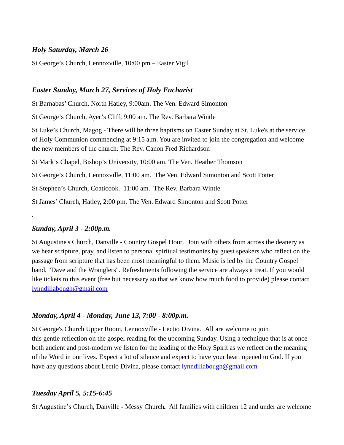# *Holy Saturday, March 26*

St George's Church, Lennoxville, 10:00 pm – Easter Vigil

## *Easter Sunday, March 27, Services of Holy Eucharist*

St Barnabas' Church, North Hatley, 9:00am. The Ven. Edward Simonton

St George's Church, Ayer's Cliff, 9:00 am. The Rev. Barbara Wintle

St Luke's Church, Magog - There will be three baptisms on Easter Sunday at St. Luke's at the service of Holy Communion commencing at 9:15 a.m. You are invited to join the congregation and welcome the new members of the church. The Rev. Canon Fred Richardson

St Mark's Chapel, Bishop's University, 10:00 am. The Ven. Heather Thomson

St George's Church, Lennoxville, 11:00 am. The Ven. Edward Simonton and Scott Potter

St Stephen's Church, Coaticook. 11:00 am. The Rev. Barbara Wintle

St James' Church, Hatley, 2:00 pm. The Ven. Edward Simonton and Scott Potter

### *Sunday, April 3 - 2:00p.m.*

.

St Augustine's Church, Danville - Country Gospel Hour. Join with others from across the deanery as we hear scripture, pray, and listen to personal spiritual testimonies by guest speakers who reflect on the passage from scripture that has been most meaningful to them. Music is led by the Country Gospel band, "Dave and the Wranglers". Refreshments following the service are always a treat. If you would like tickets to this event (free but necessary so that we know how much food to provide) please contact [lynndillabough@gmail.com](mailto:lynndillabough@gmail.com)

# *Monday, April 4 - Monday, June 13, 7:00 - 8:00p.m.*

St George's Church Upper Room, Lennoxville - Lectio Divina. All are welcome to join this gentle reflection on the gospel reading for the upcoming Sunday. Using a technique that is at once both ancient and post-modern we listen for the leading of the Holy Spirit as we reflect on the meaning of the Word in our lives. Expect a lot of silence and expect to have your heart opened to God. If you have any questions about Lectio Divina, please contact [lynndillabough@gmail.com](mailto:lynndillabough@gmail.com)

# *Tuesday April 5, 5:15-6:45*

St Augustine's Church, Danville - Messy Church*.* All families with children 12 and under are welcome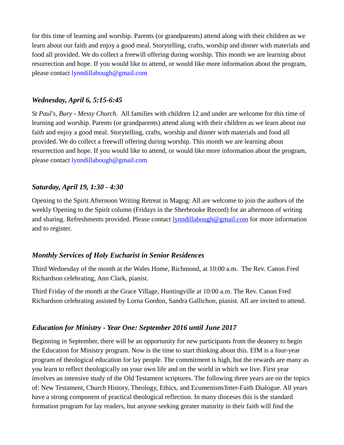for this time of learning and worship. Parents (or grandparents) attend along with their children as we learn about our faith and enjoy a good meal. Storytelling, crafts, worship and dinner with materials and food all provided. We do collect a freewill offering during worship. This month we are learning about resurrection and hope. If you would like to attend, or would like more information about the program, please contact [lynndillabough@gmail.com](mailto:lynndillabough@gmail.com)

# *Wednesday, April 6, 5:15-6:45*

*St Paul's, Bury - Messy Church.* All families with children 12 and under are welcome for this time of learning and worship. Parents (or grandparents) attend along with their children as we learn about our faith and enjoy a good meal. Storytelling, crafts, worship and dinner with materials and food all provided. We do collect a freewill offering during worship. This month we are learning about resurrection and hope. If you would like to attend, or would like more information about the program, please contact [lynndillabough@gmail.com](mailto:lynndillabough@gmail.com)

# *Saturday, April 19, 1:30 - 4:30*

Opening to the Spirit Afternoon Writing Retreat in Magog: All are welcome to join the authors of the weekly Opening to the Spirit column (Fridays in the Sherbrooke Record) for an afternoon of writing and sharing. Refreshments provided. Please contact [lynndillabough@gmail.com](mailto:lynndillabough@gmail.com) for more information and to register.

# *Monthly Services of Holy Eucharist in Senior Residences*

Third Wednesday of the month at the Wales Home, Richmond, at 10:00 a.m. The Rev. Canon Fred Richardson celebrating, Ann Clark, pianist.

Third Friday of the month at the Grace Village, Huntingville at 10:00 a.m. The Rev. Canon Fred Richardson celebrating assisted by Lorna Gordon, Sandra Gallichon, pianist. All are invited to attend.

# *Education for Ministry - Year One: September 2016 until June 2017*

Beginning in September, there will be an opportunity for new participants from the deanery to begin the Education for Ministry program. Now is the time to start thinking about this. EfM is a four-year program of theological education for lay people. The commitment is high, but the rewards are many as you learn to reflect theologically on your own life and on the world in which we live. First year involves an intensive study of the Old Testament scriptures. The following three years are on the topics of: New Testament, Church History, Theology, Ethics, and Ecumenism/Inter-Faith Dialogue. All years have a strong component of practical theological reflection. In many dioceses this is the standard formation program for lay readers, but anyone seeking greater maturity in their faith will find the